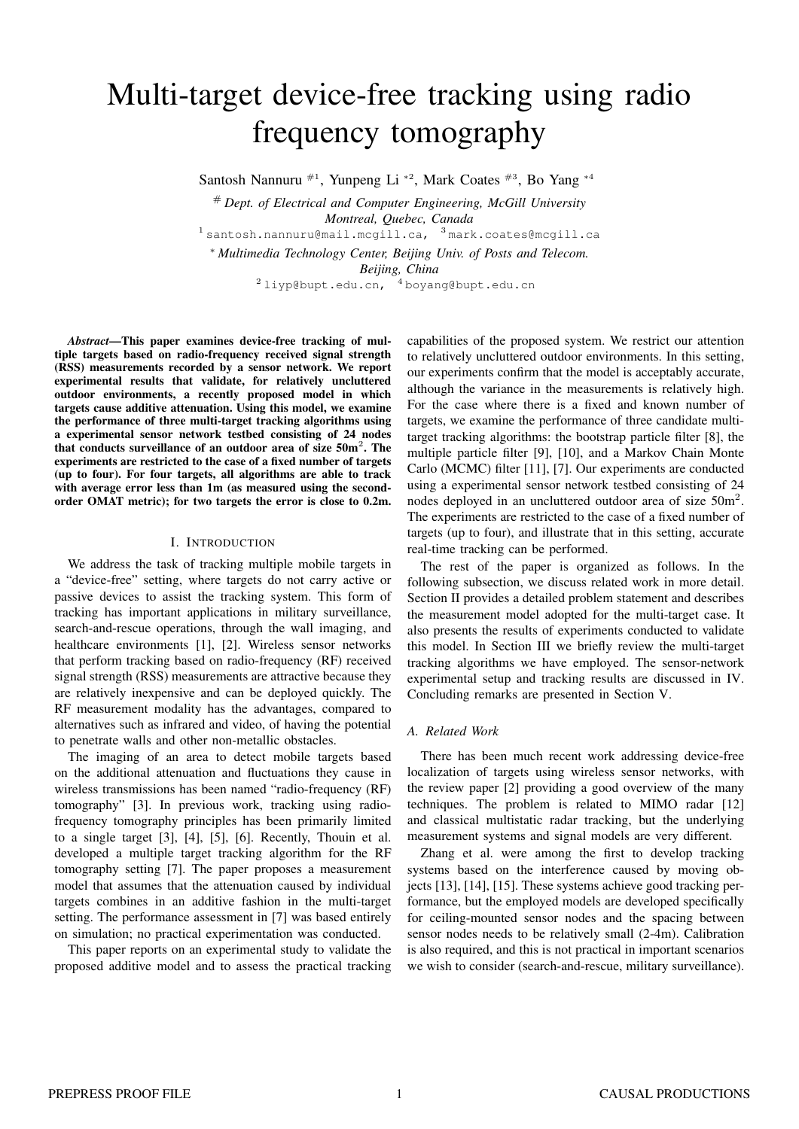# Multi-target device-free tracking using radio frequency tomography

Santosh Nannuru #1, Yunpeng Li <sup>∗</sup><sup>2</sup> , Mark Coates #3, Bo Yang <sup>∗</sup><sup>4</sup>

# *Dept. of Electrical and Computer Engineering, McGill University Montreal, Quebec, Canada* <sup>1</sup> santosh.nannuru@mail.mcgill.ca, <sup>3</sup> mark.coates@mcgill.ca

<sup>∗</sup> *Multimedia Technology Center, Beijing Univ. of Posts and Telecom. Beijing, China*  $^{2}$ liyp@bupt.edu.cn,  $^{4}$ boyang@bupt.edu.cn

*Abstract*—This paper examines device-free tracking of multiple targets based on radio-frequency received signal strength (RSS) measurements recorded by a sensor network. We report experimental results that validate, for relatively uncluttered outdoor environments, a recently proposed model in which targets cause additive attenuation. Using this model, we examine the performance of three multi-target tracking algorithms using a experimental sensor network testbed consisting of 24 nodes that conducts surveillance of an outdoor area of size  $50m^2$ . The experiments are restricted to the case of a fixed number of targets (up to four). For four targets, all algorithms are able to track with average error less than 1m (as measured using the secondorder OMAT metric); for two targets the error is close to 0.2m.

## I. INTRODUCTION

We address the task of tracking multiple mobile targets in a "device-free" setting, where targets do not carry active or passive devices to assist the tracking system. This form of tracking has important applications in military surveillance, search-and-rescue operations, through the wall imaging, and healthcare environments [1], [2]. Wireless sensor networks that perform tracking based on radio-frequency (RF) received signal strength (RSS) measurements are attractive because they are relatively inexpensive and can be deployed quickly. The RF measurement modality has the advantages, compared to alternatives such as infrared and video, of having the potential to penetrate walls and other non-metallic obstacles.

The imaging of an area to detect mobile targets based on the additional attenuation and fluctuations they cause in wireless transmissions has been named "radio-frequency (RF) tomography" [3]. In previous work, tracking using radiofrequency tomography principles has been primarily limited to a single target [3], [4], [5], [6]. Recently, Thouin et al. developed a multiple target tracking algorithm for the RF tomography setting [7]. The paper proposes a measurement model that assumes that the attenuation caused by individual targets combines in an additive fashion in the multi-target setting. The performance assessment in [7] was based entirely on simulation; no practical experimentation was conducted.

This paper reports on an experimental study to validate the proposed additive model and to assess the practical tracking

capabilities of the proposed system. We restrict our attention to relatively uncluttered outdoor environments. In this setting, our experiments confirm that the model is acceptably accurate, although the variance in the measurements is relatively high. For the case where there is a fixed and known number of targets, we examine the performance of three candidate multitarget tracking algorithms: the bootstrap particle filter [8], the multiple particle filter [9], [10], and a Markov Chain Monte Carlo (MCMC) filter [11], [7]. Our experiments are conducted using a experimental sensor network testbed consisting of 24 nodes deployed in an uncluttered outdoor area of size 50m<sup>2</sup>. The experiments are restricted to the case of a fixed number of targets (up to four), and illustrate that in this setting, accurate real-time tracking can be performed.

The rest of the paper is organized as follows. In the following subsection, we discuss related work in more detail. Section II provides a detailed problem statement and describes the measurement model adopted for the multi-target case. It also presents the results of experiments conducted to validate this model. In Section III we briefly review the multi-target tracking algorithms we have employed. The sensor-network experimental setup and tracking results are discussed in IV. Concluding remarks are presented in Section V.

# *A. Related Work*

There has been much recent work addressing device-free localization of targets using wireless sensor networks, with the review paper [2] providing a good overview of the many techniques. The problem is related to MIMO radar [12] and classical multistatic radar tracking, but the underlying measurement systems and signal models are very different.

Zhang et al. were among the first to develop tracking systems based on the interference caused by moving objects [13], [14], [15]. These systems achieve good tracking performance, but the employed models are developed specifically for ceiling-mounted sensor nodes and the spacing between sensor nodes needs to be relatively small (2-4m). Calibration is also required, and this is not practical in important scenarios we wish to consider (search-and-rescue, military surveillance).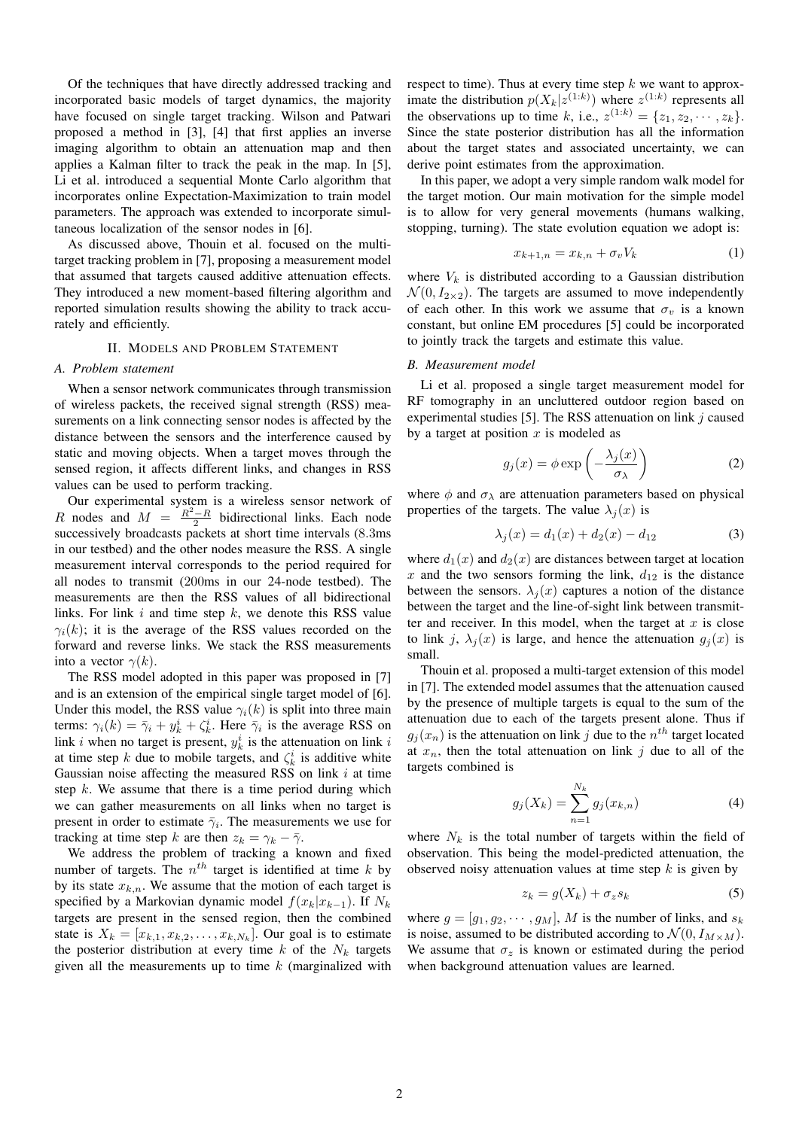Of the techniques that have directly addressed tracking and incorporated basic models of target dynamics, the majority have focused on single target tracking. Wilson and Patwari proposed a method in [3], [4] that first applies an inverse imaging algorithm to obtain an attenuation map and then applies a Kalman filter to track the peak in the map. In [5], Li et al. introduced a sequential Monte Carlo algorithm that incorporates online Expectation-Maximization to train model parameters. The approach was extended to incorporate simultaneous localization of the sensor nodes in [6].

As discussed above, Thouin et al. focused on the multitarget tracking problem in [7], proposing a measurement model that assumed that targets caused additive attenuation effects. They introduced a new moment-based filtering algorithm and reported simulation results showing the ability to track accurately and efficiently.

## II. MODELS AND PROBLEM STATEMENT

## *A. Problem statement*

When a sensor network communicates through transmission of wireless packets, the received signal strength (RSS) measurements on a link connecting sensor nodes is affected by the distance between the sensors and the interference caused by static and moving objects. When a target moves through the sensed region, it affects different links, and changes in RSS values can be used to perform tracking.

Our experimental system is a wireless sensor network of R nodes and  $M = \frac{R^2 - R}{2}$  bidirectional links. Each node successively broadcasts packets at short time intervals (8.3ms in our testbed) and the other nodes measure the RSS. A single measurement interval corresponds to the period required for all nodes to transmit (200ms in our 24-node testbed). The measurements are then the RSS values of all bidirectional links. For link  $i$  and time step  $k$ , we denote this RSS value  $\gamma_i(k)$ ; it is the average of the RSS values recorded on the forward and reverse links. We stack the RSS measurements into a vector  $\gamma(k)$ .

The RSS model adopted in this paper was proposed in [7] and is an extension of the empirical single target model of [6]. Under this model, the RSS value  $\gamma_i(k)$  is split into three main terms:  $\gamma_i(k) = \bar{\gamma}_i + y_k^i + \zeta_k^i$ . Here  $\bar{\gamma}_i$  is the average RSS on link *i* when no target is present,  $y_k^i$  is the attenuation on link *i* at time step k due to mobile targets, and  $\zeta_k^i$  is additive white Gaussian noise affecting the measured RSS on link  $i$  at time step  $k$ . We assume that there is a time period during which we can gather measurements on all links when no target is present in order to estimate  $\bar{\gamma}_i$ . The measurements we use for tracking at time step k are then  $z_k = \gamma_k - \overline{\gamma}$ .

We address the problem of tracking a known and fixed number of targets. The  $n<sup>th</sup>$  target is identified at time k by by its state  $x_{k,n}$ . We assume that the motion of each target is specified by a Markovian dynamic model  $f(x_k|x_{k-1})$ . If  $N_k$ targets are present in the sensed region, then the combined state is  $X_k = [x_{k,1}, x_{k,2}, \dots, x_{k,N_k}]$ . Our goal is to estimate the posterior distribution at every time  $k$  of the  $N_k$  targets given all the measurements up to time  $k$  (marginalized with respect to time). Thus at every time step  $k$  we want to approximate the distribution  $p(X_k|z^{(1:k)})$  where  $z^{(1:k)}$  represents all the observations up to time k, i.e.,  $z^{(1:k)} = \{z_1, z_2, \cdots, z_k\}.$ Since the state posterior distribution has all the information about the target states and associated uncertainty, we can derive point estimates from the approximation.

In this paper, we adopt a very simple random walk model for the target motion. Our main motivation for the simple model is to allow for very general movements (humans walking, stopping, turning). The state evolution equation we adopt is:

$$
x_{k+1,n} = x_{k,n} + \sigma_v V_k \tag{1}
$$

where  $V_k$  is distributed according to a Gaussian distribution  $\mathcal{N}(0, I_{2\times2})$ . The targets are assumed to move independently of each other. In this work we assume that  $\sigma_v$  is a known constant, but online EM procedures [5] could be incorporated to jointly track the targets and estimate this value.

## *B. Measurement model*

Li et al. proposed a single target measurement model for RF tomography in an uncluttered outdoor region based on experimental studies [5]. The RSS attenuation on link  $j$  caused by a target at position  $x$  is modeled as

$$
g_j(x) = \phi \exp\left(-\frac{\lambda_j(x)}{\sigma_\lambda}\right) \tag{2}
$$

where  $\phi$  and  $\sigma_{\lambda}$  are attenuation parameters based on physical properties of the targets. The value  $\lambda_i(x)$  is

$$
\lambda_j(x) = d_1(x) + d_2(x) - d_{12} \tag{3}
$$

where  $d_1(x)$  and  $d_2(x)$  are distances between target at location x and the two sensors forming the link,  $d_{12}$  is the distance between the sensors.  $\lambda_j(x)$  captures a notion of the distance between the target and the line-of-sight link between transmitter and receiver. In this model, when the target at  $x$  is close to link j,  $\lambda_i(x)$  is large, and hence the attenuation  $g_i(x)$  is small.

Thouin et al. proposed a multi-target extension of this model in [7]. The extended model assumes that the attenuation caused by the presence of multiple targets is equal to the sum of the attenuation due to each of the targets present alone. Thus if  $g_j(x_n)$  is the attenuation on link j due to the  $n<sup>th</sup>$  target located at  $x_n$ , then the total attenuation on link j due to all of the targets combined is

$$
g_j(X_k) = \sum_{n=1}^{N_k} g_j(x_{k,n})
$$
\n(4)

where  $N_k$  is the total number of targets within the field of observation. This being the model-predicted attenuation, the observed noisy attenuation values at time step  $k$  is given by

$$
z_k = g(X_k) + \sigma_z s_k \tag{5}
$$

where  $g = [g_1, g_2, \dots, g_M]$ , M is the number of links, and  $s_k$ is noise, assumed to be distributed according to  $\mathcal{N}(0, I_{M \times M})$ . We assume that  $\sigma_z$  is known or estimated during the period when background attenuation values are learned.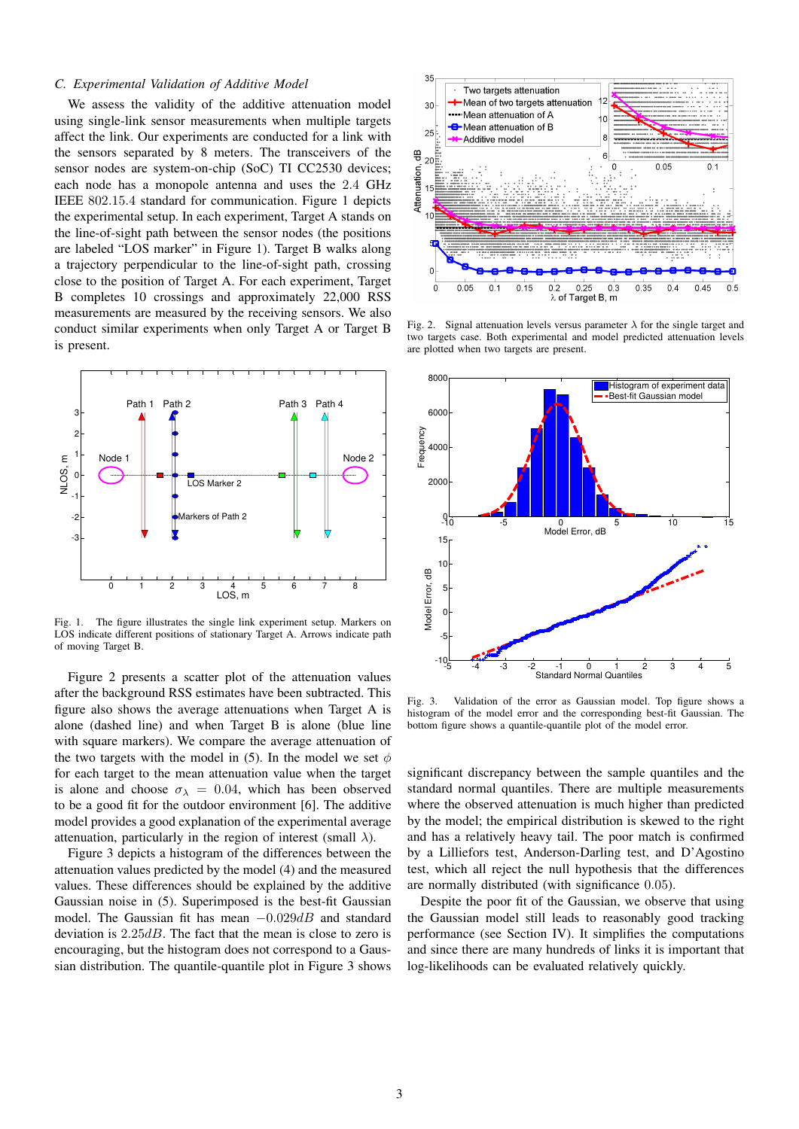# *C. Experimental Validation of Additive Model*

We assess the validity of the additive attenuation model using single-link sensor measurements when multiple targets affect the link. Our experiments are conducted for a link with the sensors separated by 8 meters. The transceivers of the sensor nodes are system-on-chip (SoC) TI CC2530 devices; each node has a monopole antenna and uses the 2.4 GHz IEEE 802.15.4 standard for communication. Figure 1 depicts the experimental setup. In each experiment, Target A stands on the line-of-sight path between the sensor nodes (the positions are labeled "LOS marker" in Figure 1). Target B walks along a trajectory perpendicular to the line-of-sight path, crossing close to the position of Target A. For each experiment, Target B completes 10 crossings and approximately 22,000 RSS measurements are measured by the receiving sensors. We also conduct similar experiments when only Target A or Target B is present.



Fig. 1. The figure illustrates the single link experiment setup. Markers on LOS indicate different positions of stationary Target A. Arrows indicate path of moving Target B.

Figure 2 presents a scatter plot of the attenuation values after the background RSS estimates have been subtracted. This figure also shows the average attenuations when Target A is alone (dashed line) and when Target B is alone (blue line with square markers). We compare the average attenuation of the two targets with the model in (5). In the model we set  $\phi$ for each target to the mean attenuation value when the target is alone and choose  $\sigma_{\lambda} = 0.04$ , which has been observed to be a good fit for the outdoor environment [6]. The additive model provides a good explanation of the experimental average attenuation, particularly in the region of interest (small  $\lambda$ ).

Figure 3 depicts a histogram of the differences between the attenuation values predicted by the model (4) and the measured values. These differences should be explained by the additive Gaussian noise in (5). Superimposed is the best-fit Gaussian model. The Gaussian fit has mean  $-0.029dB$  and standard deviation is 2.25dB. The fact that the mean is close to zero is encouraging, but the histogram does not correspond to a Gaussian distribution. The quantile-quantile plot in Figure 3 shows



Fig. 2. Signal attenuation levels versus parameter  $\lambda$  for the single target and two targets case. Both experimental and model predicted attenuation levels are plotted when two targets are present.



Fig. 3. Validation of the error as Gaussian model. Top figure shows a histogram of the model error and the corresponding best-fit Gaussian. The bottom figure shows a quantile-quantile plot of the model error.

significant discrepancy between the sample quantiles and the standard normal quantiles. There are multiple measurements where the observed attenuation is much higher than predicted by the model; the empirical distribution is skewed to the right and has a relatively heavy tail. The poor match is confirmed by a Lilliefors test, Anderson-Darling test, and D'Agostino test, which all reject the null hypothesis that the differences are normally distributed (with significance 0.05).

Despite the poor fit of the Gaussian, we observe that using the Gaussian model still leads to reasonably good tracking performance (see Section IV). It simplifies the computations and since there are many hundreds of links it is important that log-likelihoods can be evaluated relatively quickly.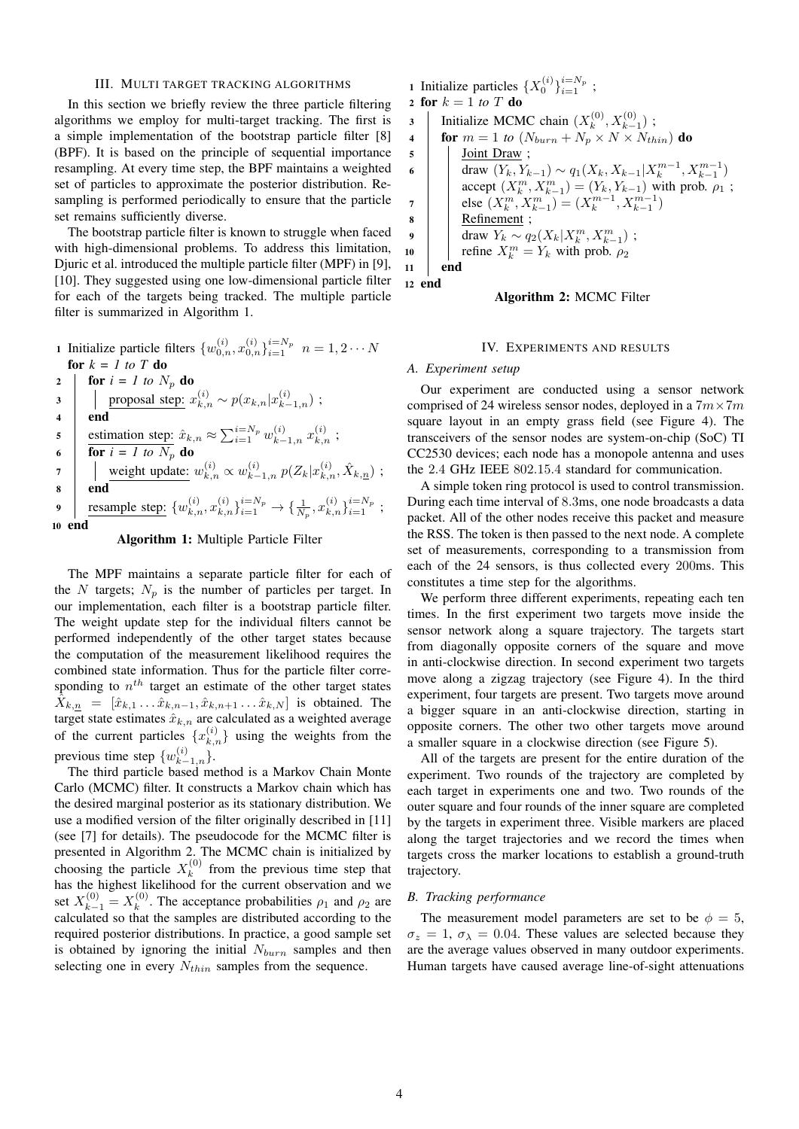## III. MULTI TARGET TRACKING ALGORITHMS

In this section we briefly review the three particle filtering algorithms we employ for multi-target tracking. The first is a simple implementation of the bootstrap particle filter [8] (BPF). It is based on the principle of sequential importance resampling. At every time step, the BPF maintains a weighted set of particles to approximate the posterior distribution. Resampling is performed periodically to ensure that the particle set remains sufficiently diverse.

The bootstrap particle filter is known to struggle when faced with high-dimensional problems. To address this limitation, Djuric et al. introduced the multiple particle filter (MPF) in [9], [10]. They suggested using one low-dimensional particle filter for each of the targets being tracked. The multiple particle filter is summarized in Algorithm 1.

1 Initialize particle filters  $\{w_{0,n}^{(i)}, x_{0,n}^{(i)}\}_{i=1}^{i=N_p}$   $n = 1, 2 \cdots N$ for  $k = 1$  to T do 2 **for**  $i = 1$  to  $N_p$  do 3 | proposal step:  $x_{k,n}^{(i)} \sim p(x_{k,n}|x_{k-1,n}^{(i)})$ ; <sup>4</sup> end s estimation step:  $\hat{x}_{k,n} \approx \sum_{i=1}^{i=N_p} w_{k-1,n}^{(i)} x_{k,n}^{(i)}$ ; 6 **for**  $i = 1$  to  $N_p$  do 7  $\big|$  weight update:  $w_{k,n}^{(i)} \propto w_{k-1,n}^{(i)} \ p(Z_k|x_{k,n}^{(i)}, \hat{X}_{k,n})$  ; <sup>8</sup> end 9 resample step:  $\{w_{k,n}^{(i)}, x_{k,n}^{(i)}\}_{i=1}^{i=N_p} \rightarrow \{\frac{1}{N_p}, x_{k,n}^{(i)}\}_{i=1}^{i=N_p}$ ; <sup>10</sup> end

# Algorithm 1: Multiple Particle Filter

The MPF maintains a separate particle filter for each of the N targets;  $N_p$  is the number of particles per target. In our implementation, each filter is a bootstrap particle filter. The weight update step for the individual filters cannot be performed independently of the other target states because the computation of the measurement likelihood requires the combined state information. Thus for the particle filter corresponding to  $n^{th}$  target an estimate of the other target states  $\hat{X}_{k,n} = [\hat{x}_{k,1} \dots \hat{x}_{k,n-1}, \hat{x}_{k,n+1} \dots \hat{x}_{k,N}]$  is obtained. The target state estimates  $\hat{x}_{k,n}$  are calculated as a weighted average of the current particles  $\{x_{k,n}^{(i)}\}$  using the weights from the previous time step  $\{w_{k-1,n}^{(i)}\}$ .

The third particle based method is a Markov Chain Monte Carlo (MCMC) filter. It constructs a Markov chain which has the desired marginal posterior as its stationary distribution. We use a modified version of the filter originally described in [11] (see [7] for details). The pseudocode for the MCMC filter is presented in Algorithm 2. The MCMC chain is initialized by choosing the particle  $X_k^{(0)}$  $k<sup>(0)</sup>$  from the previous time step that has the highest likelihood for the current observation and we set  $X_{k-1}^{(0)} = X_k^{(0)}$  $\kappa^{(0)}$ . The acceptance probabilities  $\rho_1$  and  $\rho_2$  are calculated so that the samples are distributed according to the required posterior distributions. In practice, a good sample set is obtained by ignoring the initial  $N_{burn}$  samples and then selecting one in every  $N_{thin}$  samples from the sequence.

1 Initialize particles  $\{X_0^{(i)}\}_{i=1}^{i=N_p}$ ; 2 for  $k = 1$  *to*  $T$  do 3 | Initialize MCMC chain  $(X_k^{(0)})$  $X_{k-1}^{(0)}, X_{k-1}^{(0)}$  ; 4 **for**  $m = 1$  to  $(N_{burn} + N_p \times N \times N_{thin})$  do 5 | Joint Draw; 6 draw  $(Y_k, Y_{k-1}) \sim q_1(X_k, X_{k-1}|X_k^{m-1}, X_{k-1}^{m-1})$ accept  $(X_k^m, X_{k-1}^m) = (Y_k, Y_{k-1})$  with prob.  $\rho_1$ ; 7 else  $(X_k^m, X_{k-1}^m) = (X_k^{m-1}, X_{k-1}^{m-1})$ <sup>8</sup> Refinement ; 9  $\Big|$  draw  $Y_k \sim q_2(X_k|X_k^m,X_{k-1}^m)$ ; 10 | refine  $X_k^m = Y_k$  with prob.  $\rho_2$ <sup>11</sup> end <sup>12</sup> end

## Algorithm 2: MCMC Filter

# IV. EXPERIMENTS AND RESULTS

## *A. Experiment setup*

Our experiment are conducted using a sensor network comprised of 24 wireless sensor nodes, deployed in a  $7m \times 7m$ square layout in an empty grass field (see Figure 4). The transceivers of the sensor nodes are system-on-chip (SoC) TI CC2530 devices; each node has a monopole antenna and uses the 2.4 GHz IEEE 802.15.4 standard for communication.

A simple token ring protocol is used to control transmission. During each time interval of 8.3ms, one node broadcasts a data packet. All of the other nodes receive this packet and measure the RSS. The token is then passed to the next node. A complete set of measurements, corresponding to a transmission from each of the 24 sensors, is thus collected every 200ms. This constitutes a time step for the algorithms.

We perform three different experiments, repeating each ten times. In the first experiment two targets move inside the sensor network along a square trajectory. The targets start from diagonally opposite corners of the square and move in anti-clockwise direction. In second experiment two targets move along a zigzag trajectory (see Figure 4). In the third experiment, four targets are present. Two targets move around a bigger square in an anti-clockwise direction, starting in opposite corners. The other two other targets move around a smaller square in a clockwise direction (see Figure 5).

All of the targets are present for the entire duration of the experiment. Two rounds of the trajectory are completed by each target in experiments one and two. Two rounds of the outer square and four rounds of the inner square are completed by the targets in experiment three. Visible markers are placed along the target trajectories and we record the times when targets cross the marker locations to establish a ground-truth trajectory.

## *B. Tracking performance*

The measurement model parameters are set to be  $\phi = 5$ ,  $\sigma_z = 1$ ,  $\sigma_\lambda = 0.04$ . These values are selected because they are the average values observed in many outdoor experiments. Human targets have caused average line-of-sight attenuations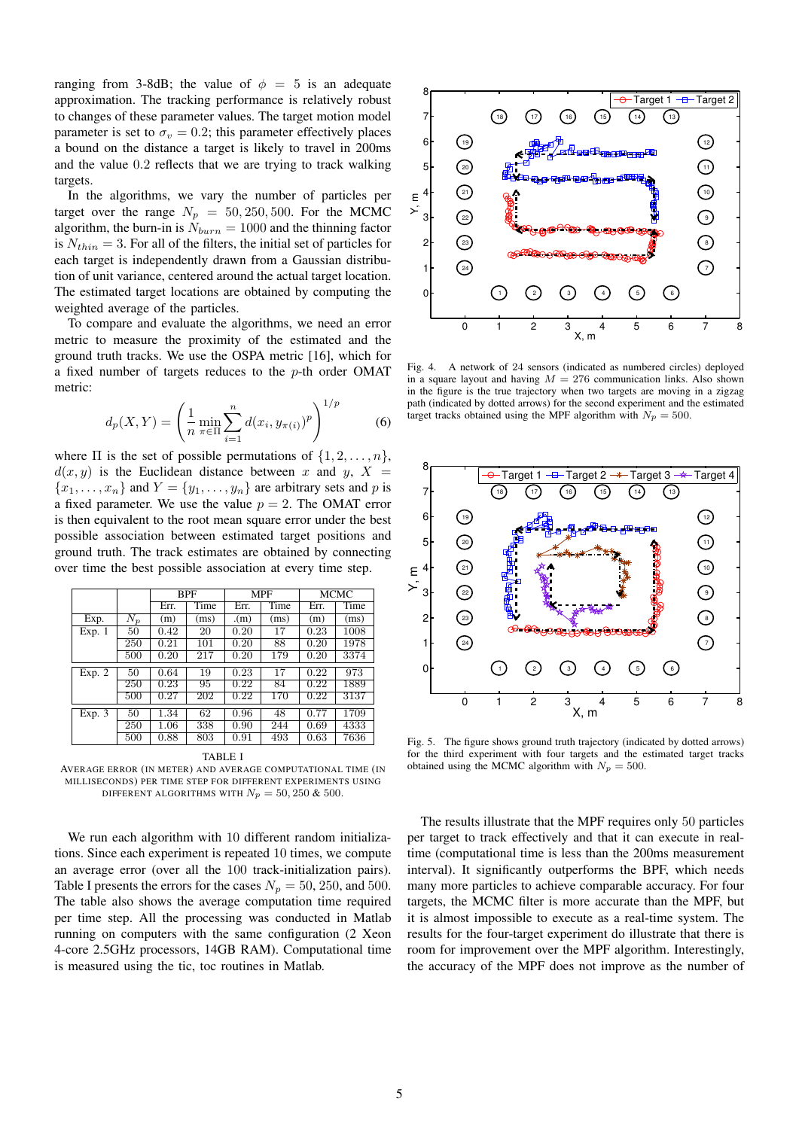ranging from 3-8dB; the value of  $\phi = 5$  is an adequate approximation. The tracking performance is relatively robust to changes of these parameter values. The target motion model parameter is set to  $\sigma_v = 0.2$ ; this parameter effectively places a bound on the distance a target is likely to travel in 200ms and the value 0.2 reflects that we are trying to track walking targets.

In the algorithms, we vary the number of particles per target over the range  $N_p = 50, 250, 500$ . For the MCMC algorithm, the burn-in is  $N_{burn} = 1000$  and the thinning factor is  $N_{thin} = 3$ . For all of the filters, the initial set of particles for each target is independently drawn from a Gaussian distribution of unit variance, centered around the actual target location. The estimated target locations are obtained by computing the weighted average of the particles.

To compare and evaluate the algorithms, we need an error metric to measure the proximity of the estimated and the ground truth tracks. We use the OSPA metric [16], which for a fixed number of targets reduces to the p-th order OMAT metric:

$$
d_p(X, Y) = \left(\frac{1}{n} \min_{\pi \in \Pi} \sum_{i=1}^n d(x_i, y_{\pi(i)})^p\right)^{1/p}
$$
(6)

where  $\Pi$  is the set of possible permutations of  $\{1, 2, \ldots, n\}$ ,  $d(x, y)$  is the Euclidean distance between x and y,  $X =$  ${x_1, \ldots, x_n}$  and  $Y = {y_1, \ldots, y_n}$  are arbitrary sets and p is a fixed parameter. We use the value  $p = 2$ . The OMAT error is then equivalent to the root mean square error under the best possible association between estimated target positions and ground truth. The track estimates are obtained by connecting over time the best possible association at every time step.

|        |       | <b>BPF</b> |      | <b>MPF</b> |      | MCMC |      |
|--------|-------|------------|------|------------|------|------|------|
|        |       | Err.       | Time | Err.       | Time | Err. | Time |
| Exp.   | $N_p$ | (m)        | (ms) | (m)        | (ms) | (m)  | (ms) |
| Exp. 1 | 50    | 0.42       | 20   | 0.20       | 17   | 0.23 | 1008 |
|        | 250   | 0.21       | 101  | 0.20       | 88   | 0.20 | 1978 |
|        | 500   | 0.20       | 217  | 0.20       | 179  | 0.20 | 3374 |
| Exp. 2 | 50    | 0.64       | 19   | 0.23       | 17   | 0.22 | 973  |
|        | 250   | 0.23       | 95   | 0.22       | 84   | 0.22 | 1889 |
|        | 500   | 0.27       | 202  | 0.22       | 170  | 0.22 | 3137 |
| Exp. 3 | 50    | 1.34       | 62   | 0.96       | 48   | 0.77 | 1709 |
|        | 250   | 1.06       | 338  | 0.90       | 244  | 0.69 | 4333 |
|        | 500   | 0.88       | 803  | 0.91       | 493  | 0.63 | 7636 |

TABLE I

AVERAGE ERROR (IN METER) AND AVERAGE COMPUTATIONAL TIME (IN MILLISECONDS) PER TIME STEP FOR DIFFERENT EXPERIMENTS USING DIFFERENT ALGORITHMS WITH  $N_p = 50, 250 \& 500$ .

We run each algorithm with 10 different random initializations. Since each experiment is repeated 10 times, we compute an average error (over all the 100 track-initialization pairs). Table I presents the errors for the cases  $N_p = 50, 250,$  and 500. The table also shows the average computation time required per time step. All the processing was conducted in Matlab running on computers with the same configuration (2 Xeon 4-core 2.5GHz processors, 14GB RAM). Computational time is measured using the tic, toc routines in Matlab.



Fig. 4. A network of 24 sensors (indicated as numbered circles) deployed in a square layout and having  $M = 276$  communication links. Also shown in the figure is the true trajectory when two targets are moving in a zigzag path (indicated by dotted arrows) for the second experiment and the estimated target tracks obtained using the MPF algorithm with  $N_p = 500$ .



Fig. 5. The figure shows ground truth trajectory (indicated by dotted arrows) for the third experiment with four targets and the estimated target tracks obtained using the MCMC algorithm with  $N_p = 500$ .

The results illustrate that the MPF requires only 50 particles per target to track effectively and that it can execute in realtime (computational time is less than the 200ms measurement interval). It significantly outperforms the BPF, which needs many more particles to achieve comparable accuracy. For four targets, the MCMC filter is more accurate than the MPF, but it is almost impossible to execute as a real-time system. The results for the four-target experiment do illustrate that there is room for improvement over the MPF algorithm. Interestingly, the accuracy of the MPF does not improve as the number of